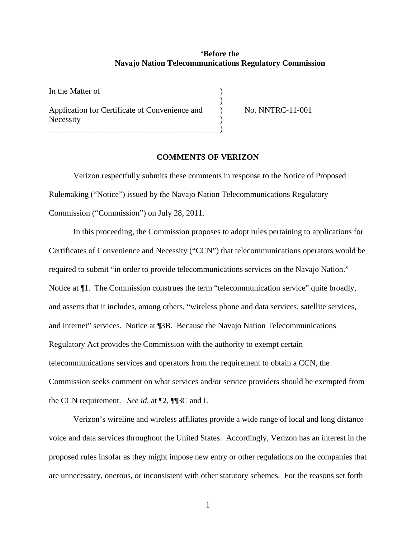## **'Before the Navajo Nation Telecommunications Regulatory Commission**

In the Matter of )  $)$ Application for Certificate of Convenience and  $\qquad \qquad$  No. NNTRC-11-001 **Necessity** \_\_\_\_\_\_\_\_\_\_\_\_\_\_\_\_\_\_\_\_\_\_\_\_\_\_\_\_\_\_\_\_\_\_\_\_\_\_\_\_\_\_)

## **COMMENTS OF VERIZON**

Verizon respectfully submits these comments in response to the Notice of Proposed Rulemaking ("Notice") issued by the Navajo Nation Telecommunications Regulatory Commission ("Commission") on July 28, 2011.

In this proceeding, the Commission proposes to adopt rules pertaining to applications for Certificates of Convenience and Necessity ("CCN") that telecommunications operators would be required to submit "in order to provide telecommunications services on the Navajo Nation." Notice at ¶1. The Commission construes the term "telecommunication service" quite broadly, and asserts that it includes, among others, "wireless phone and data services, satellite services, and internet" services. Notice at ¶3B. Because the Navajo Nation Telecommunications Regulatory Act provides the Commission with the authority to exempt certain telecommunications services and operators from the requirement to obtain a CCN, the Commission seeks comment on what services and/or service providers should be exempted from the CCN requirement. *See id.* at ¶2, ¶¶3C and I.

Verizon's wireline and wireless affiliates provide a wide range of local and long distance voice and data services throughout the United States. Accordingly, Verizon has an interest in the proposed rules insofar as they might impose new entry or other regulations on the companies that are unnecessary, onerous, or inconsistent with other statutory schemes. For the reasons set forth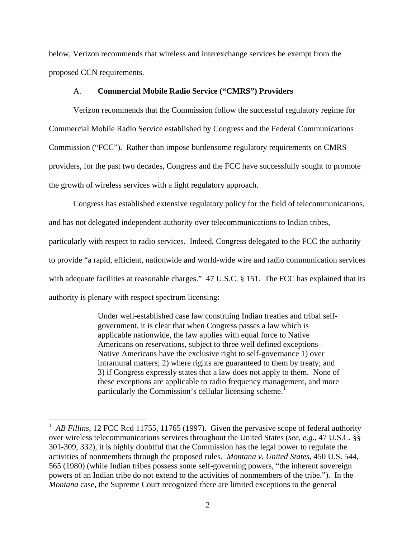below, Verizon recommends that wireless and interexchange services be exempt from the proposed CCN requirements.

## A. **Commercial Mobile Radio Service ("CMRS") Providers**

Verizon recommends that the Commission follow the successful regulatory regime for Commercial Mobile Radio Service established by Congress and the Federal Communications Commission ("FCC"). Rather than impose burdensome regulatory requirements on CMRS providers, for the past two decades, Congress and the FCC have successfully sought to promote the growth of wireless services with a light regulatory approach.

Congress has established extensive regulatory policy for the field of telecommunications, and has not delegated independent authority over telecommunications to Indian tribes, particularly with respect to radio services. Indeed, Congress delegated to the FCC the authority to provide "a rapid, efficient, nationwide and world-wide wire and radio communication services with adequate facilities at reasonable charges." 47 U.S.C. § 151. The FCC has explained that its authority is plenary with respect spectrum licensing:

> Under well-established case law construing Indian treaties and tribal selfgovernment, it is clear that when Congress passes a law which is applicable nationwide, the law applies with equal force to Native Americans on reservations, subject to three well defined exceptions – Native Americans have the exclusive right to self-governance 1) over intramural matters; 2) where rights are guaranteed to them by treaty; and 3) if Congress expressly states that a law does not apply to them. None of these exceptions are applicable to radio frequency management, and more particularly the Commission's cellular licensing scheme.<sup>[1](#page-1-0)</sup>

<span id="page-1-0"></span><sup>&</sup>lt;sup>1</sup> AB Fillins, 12 FCC Rcd 11755, 11765 (1997). Given the pervasive scope of federal authority over wireless telecommunications services throughout the United States (*see, e.g.,* 47 U.S.C. §§ 301-309, 332), it is highly doubtful that the Commission has the legal power to regulate the activities of nonmembers through the proposed rules. *Montana v. United States*, 450 U.S. 544, 565 (1980) (while Indian tribes possess some self-governing powers, "the inherent sovereign powers of an Indian tribe do not extend to the activities of nonmembers of the tribe."). In the *Montana* case, the Supreme Court recognized there are limited exceptions to the general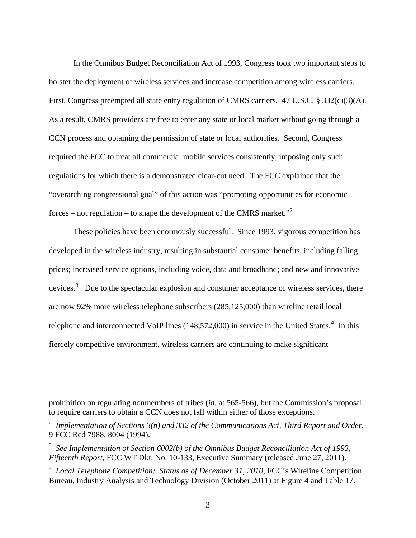<span id="page-2-0"></span>In the Omnibus Budget Reconciliation Act of 1993, Congress took two important steps to bolster the deployment of wireless services and increase competition among wireless carriers. First, Congress preempted all state entry regulation of CMRS carriers. 47 U.S.C. § 332(c)(3)(A). As a result, CMRS providers are free to enter any state or local market without going through a CCN process and obtaining the permission of state or local authorities. Second, Congress required the FCC to treat all commercial mobile services consistently, imposing only such regulations for which there is a demonstrated clear-cut need. The FCC explained that the "overarching congressional goal" of this action was "promoting opportunities for economic forces – not regulation – to shape the development of the CMRS market."<sup>[2](#page-2-0)</sup>

These policies have been enormously successful. Since 1993, vigorous competition has developed in the wireless industry, resulting in substantial consumer benefits, including falling prices; increased service options, including voice, data and broadband; and new and innovative devices.<sup>[3](#page-2-0)</sup> Due to the spectacular explosion and consumer acceptance of wireless services, there are now 92% more wireless telephone subscribers (285,125,000) than wireline retail local telephone and interconnected VoIP lines  $(148,572,000)$  $(148,572,000)$  $(148,572,000)$  in service in the United States.<sup>4</sup> In this fiercely competitive environment, wireless carriers are continuing to make significant

prohibition on regulating nonmembers of tribes (*id.* at 565-566), but the Commission's proposal to require carriers to obtain a CCN does not fall within either of those exceptions.

<sup>2</sup> *Implementation of Sections 3(n) and 332 of the Communications Act, Third Report and Order*, 9 FCC Rcd 7988, 8004 (1994).

<sup>&</sup>lt;sup>3</sup> See Implementation of Section 6002(b) of the Omnibus Budget Reconciliation Act of 1993, *Fifteenth Report*, FCC WT Dkt. No. 10-133, Executive Summary (released June 27, 2011).

<sup>&</sup>lt;sup>4</sup> Local Telephone Competition: Status as of December 31, 2010, FCC's Wireline Competition Bureau, Industry Analysis and Technology Division (October 2011) at Figure 4 and Table 17.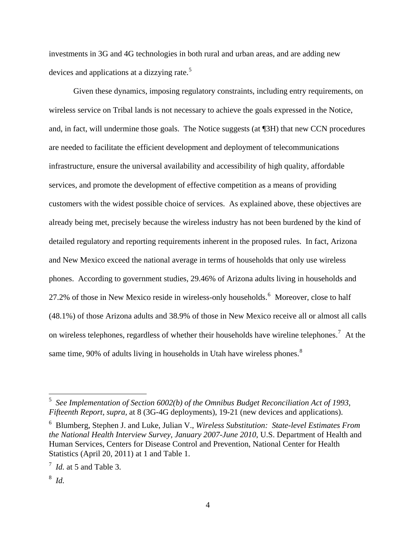<span id="page-3-0"></span>investments in 3G and 4G technologies in both rural and urban areas, and are adding new devices and applications at a dizzying rate.<sup>[5](#page-3-0)</sup>

Given these dynamics, imposing regulatory constraints, including entry requirements, on wireless service on Tribal lands is not necessary to achieve the goals expressed in the Notice, and, in fact, will undermine those goals. The Notice suggests (at ¶3H) that new CCN procedures are needed to facilitate the efficient development and deployment of telecommunications infrastructure, ensure the universal availability and accessibility of high quality, affordable services, and promote the development of effective competition as a means of providing customers with the widest possible choice of services. As explained above, these objectives are already being met, precisely because the wireless industry has not been burdened by the kind of detailed regulatory and reporting requirements inherent in the proposed rules. In fact, Arizona and New Mexico exceed the national average in terms of households that only use wireless phones. According to government studies, 29.46% of Arizona adults living in households and 27.2% of those in New Mexico reside in wireless-only households.<sup>[6](#page-3-0)</sup> Moreover, close to half (48.1%) of those Arizona adults and 38.9% of those in New Mexico receive all or almost all calls on wireless telephones, regardless of whether their households have wireline telephones.<sup>[7](#page-3-0)</sup> At the same time, 90% of adults living in households in Utah have wireless phones. $8$ 

<sup>5</sup> *See Implementation of Section 6002(b) of the Omnibus Budget Reconciliation Act of 1993, Fifteenth Report, supra,* at 8 (3G-4G deployments), 19-21 (new devices and applications).

<sup>6</sup> Blumberg, Stephen J. and Luke, Julian V., *Wireless Substitution: State-level Estimates From the National Health Interview Survey, January 2007-June 2010*, U.S. Department of Health and Human Services, Centers for Disease Control and Prevention, National Center for Health Statistics (April 20, 2011) at 1 and Table 1.

<sup>7</sup> *Id.* at 5 and Table 3.

<sup>8</sup> *Id.*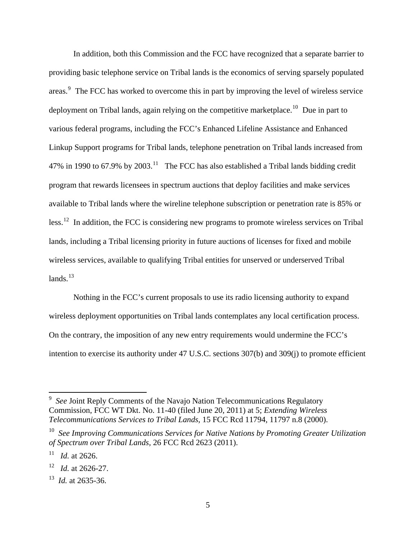<span id="page-4-0"></span>In addition, both this Commission and the FCC have recognized that a separate barrier to providing basic telephone service on Tribal lands is the economics of serving sparsely populated areas.<sup>[9](#page-4-0)</sup> The FCC has worked to overcome this in part by improving the level of wireless service deployment on Tribal lands, again relying on the competitive marketplace.<sup>[10](#page-4-0)</sup> Due in part to various federal programs, including the FCC's Enhanced Lifeline Assistance and Enhanced Linkup Support programs for Tribal lands, telephone penetration on Tribal lands increased from 47% in 1990 to 67.9% by 2003.<sup>[11](#page-4-0)</sup> The FCC has also established a Tribal lands bidding credit program that rewards licensees in spectrum auctions that deploy facilities and make services available to Tribal lands where the wireline telephone subscription or penetration rate is 85% or less.<sup>[12](#page-4-0)</sup> In addition, the FCC is considering new programs to promote wireless services on Tribal lands, including a Tribal licensing priority in future auctions of licenses for fixed and mobile wireless services, available to qualifying Tribal entities for unserved or underserved Tribal lands $13$ 

Nothing in the FCC's current proposals to use its radio licensing authority to expand wireless deployment opportunities on Tribal lands contemplates any local certification process. On the contrary, the imposition of any new entry requirements would undermine the FCC's intention to exercise its authority under 47 U.S.C. sections 307(b) and 309(j) to promote efficient

 $\overline{a}$ 

<sup>&</sup>lt;sup>9</sup> See Joint Reply Comments of the Navajo Nation Telecommunications Regulatory Commission, FCC WT Dkt. No. 11-40 (filed June 20, 2011) at 5; *Extending Wireless Telecommunications Services to Tribal Lands,* 15 FCC Rcd 11794, 11797 n.8 (2000).

<sup>10</sup> *See Improving Communications Services for Native Nations by Promoting Greater Utilization of Spectrum over Tribal Lands,* 26 FCC Rcd 2623 (2011).

*Id.* at 2626.

<sup>12</sup> *Id.* at 2626-27.

<sup>13</sup> *Id.* at 2635-36.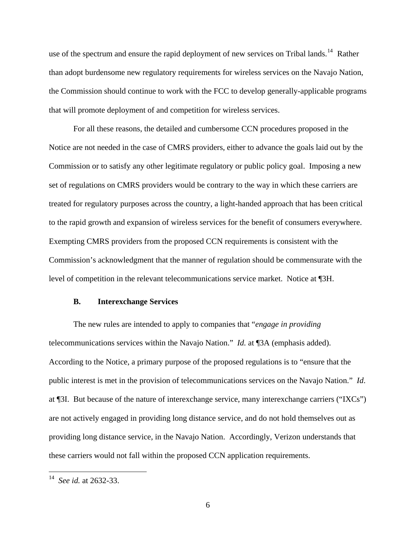<span id="page-5-0"></span>use of the spectrum and ensure the rapid deployment of new services on Tribal lands.<sup>[14](#page-5-0)</sup> Rather than adopt burdensome new regulatory requirements for wireless services on the Navajo Nation, the Commission should continue to work with the FCC to develop generally-applicable programs that will promote deployment of and competition for wireless services.

For all these reasons, the detailed and cumbersome CCN procedures proposed in the Notice are not needed in the case of CMRS providers, either to advance the goals laid out by the Commission or to satisfy any other legitimate regulatory or public policy goal. Imposing a new set of regulations on CMRS providers would be contrary to the way in which these carriers are treated for regulatory purposes across the country, a light-handed approach that has been critical to the rapid growth and expansion of wireless services for the benefit of consumers everywhere. Exempting CMRS providers from the proposed CCN requirements is consistent with the Commission's acknowledgment that the manner of regulation should be commensurate with the level of competition in the relevant telecommunications service market. Notice at ¶3H.

## **B. Interexchange Services**

The new rules are intended to apply to companies that "*engage in providing*  telecommunications services within the Navajo Nation." *Id.* at ¶3A (emphasis added). According to the Notice, a primary purpose of the proposed regulations is to "ensure that the public interest is met in the provision of telecommunications services on the Navajo Nation." *Id*. at ¶3I. But because of the nature of interexchange service, many interexchange carriers ("IXCs") are not actively engaged in providing long distance service, and do not hold themselves out as providing long distance service, in the Navajo Nation. Accordingly, Verizon understands that these carriers would not fall within the proposed CCN application requirements.

 $\overline{a}$ 

<sup>14</sup> *See id.* at 2632-33.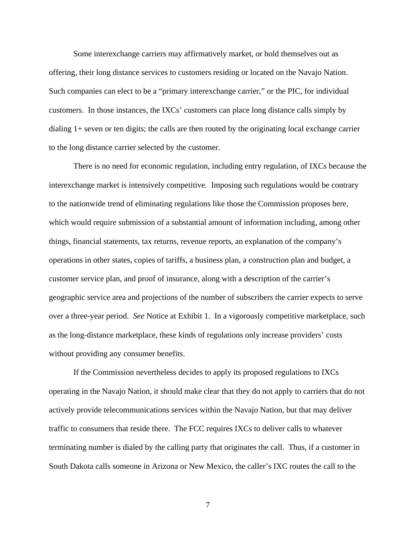Some interexchange carriers may affirmatively market, or hold themselves out as offering, their long distance services to customers residing or located on the Navajo Nation. Such companies can elect to be a "primary interexchange carrier," or the PIC, for individual customers. In those instances, the IXCs' customers can place long distance calls simply by dialing 1+ seven or ten digits; the calls are then routed by the originating local exchange carrier to the long distance carrier selected by the customer.

There is no need for economic regulation, including entry regulation, of IXCs because the interexchange market is intensively competitive. Imposing such regulations would be contrary to the nationwide trend of eliminating regulations like those the Commission proposes here, which would require submission of a substantial amount of information including, among other things, financial statements, tax returns, revenue reports, an explanation of the company's operations in other states, copies of tariffs, a business plan, a construction plan and budget, a customer service plan, and proof of insurance, along with a description of the carrier's geographic service area and projections of the number of subscribers the carrier expects to serve over a three-year period. *See* Notice at Exhibit 1. In a vigorously competitive marketplace, such as the long-distance marketplace, these kinds of regulations only increase providers' costs without providing any consumer benefits.

If the Commission nevertheless decides to apply its proposed regulations to IXCs operating in the Navajo Nation, it should make clear that they do not apply to carriers that do not actively provide telecommunications services within the Navajo Nation, but that may deliver traffic to consumers that reside there. The FCC requires IXCs to deliver calls to whatever terminating number is dialed by the calling party that originates the call. Thus, if a customer in South Dakota calls someone in Arizona or New Mexico, the caller's IXC routes the call to the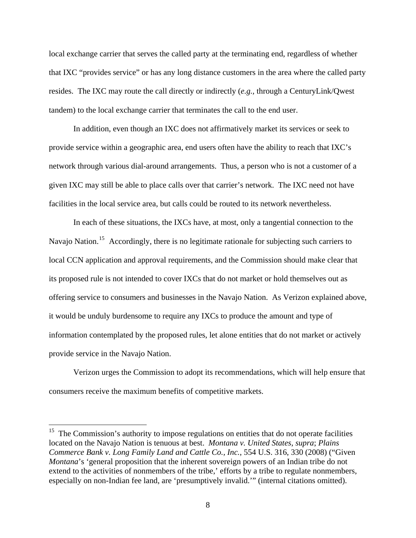<span id="page-7-0"></span>local exchange carrier that serves the called party at the terminating end, regardless of whether that IXC "provides service" or has any long distance customers in the area where the called party resides. The IXC may route the call directly or indirectly (*e.g.,* through a CenturyLink/Qwest tandem) to the local exchange carrier that terminates the call to the end user.

In addition, even though an IXC does not affirmatively market its services or seek to provide service within a geographic area, end users often have the ability to reach that IXC's network through various dial-around arrangements. Thus, a person who is not a customer of a given IXC may still be able to place calls over that carrier's network. The IXC need not have facilities in the local service area, but calls could be routed to its network nevertheless.

In each of these situations, the IXCs have, at most, only a tangential connection to the Navajo Nation.<sup>[15](#page-7-0)</sup> Accordingly, there is no legitimate rationale for subjecting such carriers to local CCN application and approval requirements, and the Commission should make clear that its proposed rule is not intended to cover IXCs that do not market or hold themselves out as offering service to consumers and businesses in the Navajo Nation. As Verizon explained above, it would be unduly burdensome to require any IXCs to produce the amount and type of information contemplated by the proposed rules, let alone entities that do not market or actively provide service in the Navajo Nation.

Verizon urges the Commission to adopt its recommendations, which will help ensure that consumers receive the maximum benefits of competitive markets.

<u>.</u>

 $15$  The Commission's authority to impose regulations on entities that do not operate facilities located on the Navajo Nation is tenuous at best. *Montana v. United States*, *supra*; *Plains Commerce Bank v. Long Family Land and Cattle Co., Inc.*, 554 U.S. 316, 330 (2008) ("Given *Montana*'s 'general proposition that the inherent sovereign powers of an Indian tribe do not extend to the activities of nonmembers of the tribe,' efforts by a tribe to regulate nonmembers, especially on non-Indian fee land, are 'presumptively invalid.'" (internal citations omitted).